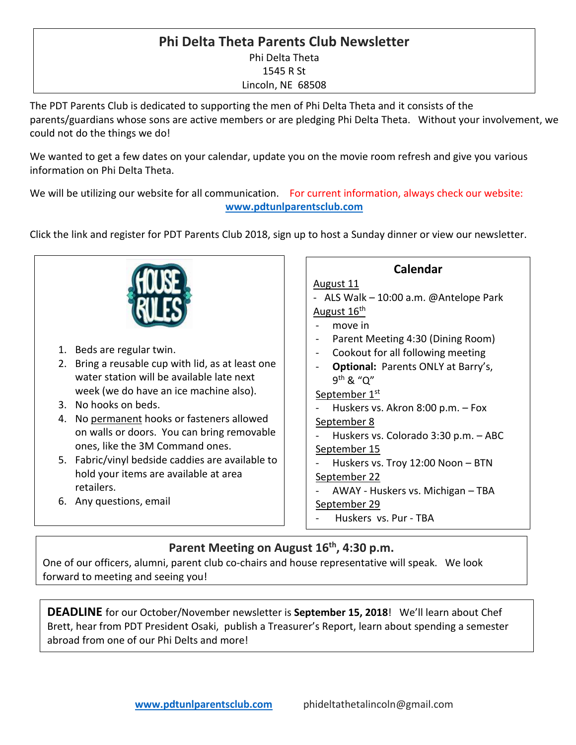### **Phi Delta Theta Parents Club Newsletter** Phi Delta Theta 1545 R St Lincoln, NE 68508

The PDT Parents Club is dedicated to supporting the men of Phi Delta Theta and it consists of the parents/guardians whose sons are active members or are pledging Phi Delta Theta. Without your involvement, we could not do the things we do!

We wanted to get a few dates on your calendar, update you on the movie room refresh and give you various information on Phi Delta Theta.

We will be utilizing our website for all communication. For current information, always check our website: **[www.pdtunlparentsclub.com](http://www.pdtunlparentsclub.com/)**

Click the link and register for PDT Parents Club 2018, sign up to host a Sunday dinner or view our newsletter.



## **Parent Meeting on August 16th, 4:30 p.m.**

One of our officers, alumni, parent club co-chairs and house representative will speak. We look forward to meeting and seeing you!

**DEADLINE** for our October/November newsletter is **September 15, 2018**! We'll learn about Chef Brett, hear from PDT President Osaki, publish a Treasurer's Report, learn about spending a semester abroad from one of our Phi Delts and more!